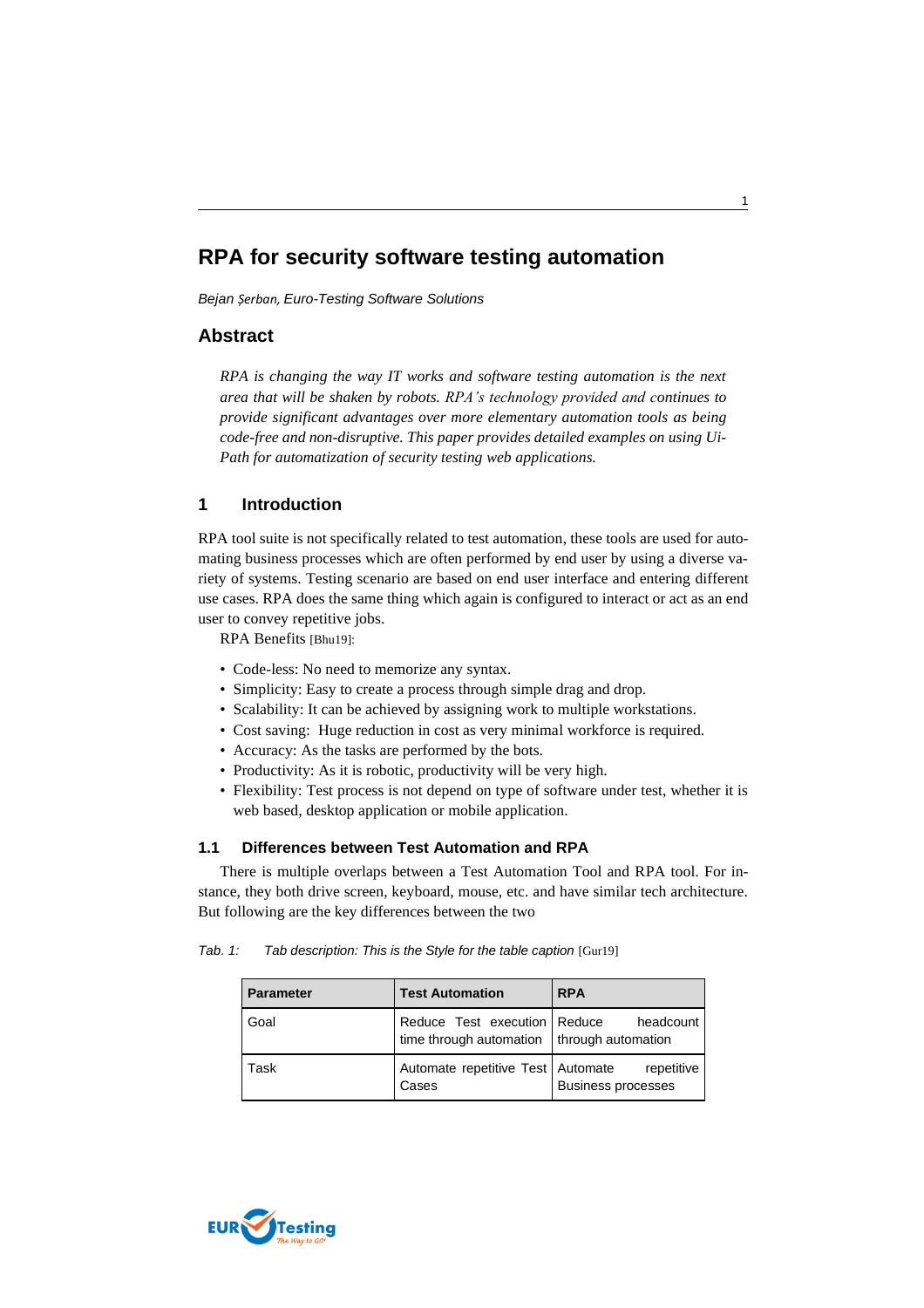# **RPA for security software testing automation**

*Bejan Șerban, Euro-Testing Software Solutions*

## **Abstract**

*RPA is changing the way IT works and software testing automation is the next area that will be shaken by robots. RPA's technology provided and continues to provide significant advantages over more elementary automation tools as being code-free and non-disruptive. This paper provides detailed examples on using Ui-Path for automatization of security testing web applications.*

# **1 Introduction**

RPA tool suite is not specifically related to test automation, these tools are used for automating business processes which are often performed by end user by using a diverse variety of systems. Testing scenario are based on end user interface and entering different use cases. RPA does the same thing which again is configured to interact or act as an end user to convey repetitive jobs.

RPA Benefits [Bhu19]:

- Code-less: No need to memorize any syntax.
- Simplicity: Easy to create a process through simple drag and drop.
- Scalability: It can be achieved by assigning work to multiple workstations.
- Cost saving: Huge reduction in cost as very minimal workforce is required.
- Accuracy: As the tasks are performed by the bots.
- Productivity: As it is robotic, productivity will be very high.
- Flexibility: Test process is not depend on type of software under test, whether it is web based, desktop application or mobile application.

#### **1.1 Differences between Test Automation and RPA**

There is multiple overlaps between a Test Automation Tool and RPA tool. For instance, they both drive screen, keyboard, mouse, etc. and have similar tech architecture. But following are the key differences between the two

| <b>Parameter</b> | <b>Test Automation</b>                                                         | <b>RPA</b>                              |
|------------------|--------------------------------------------------------------------------------|-----------------------------------------|
| Goal             | Reduce Test execution Reduce<br>time through automation $ $ through automation | headcount                               |
| Task             | Automate repetitive Test Automate<br>Cases                                     | repetitive<br><b>Business processes</b> |

*Tab. 1: Tab description: This is the Style for the table caption* [Gur19]

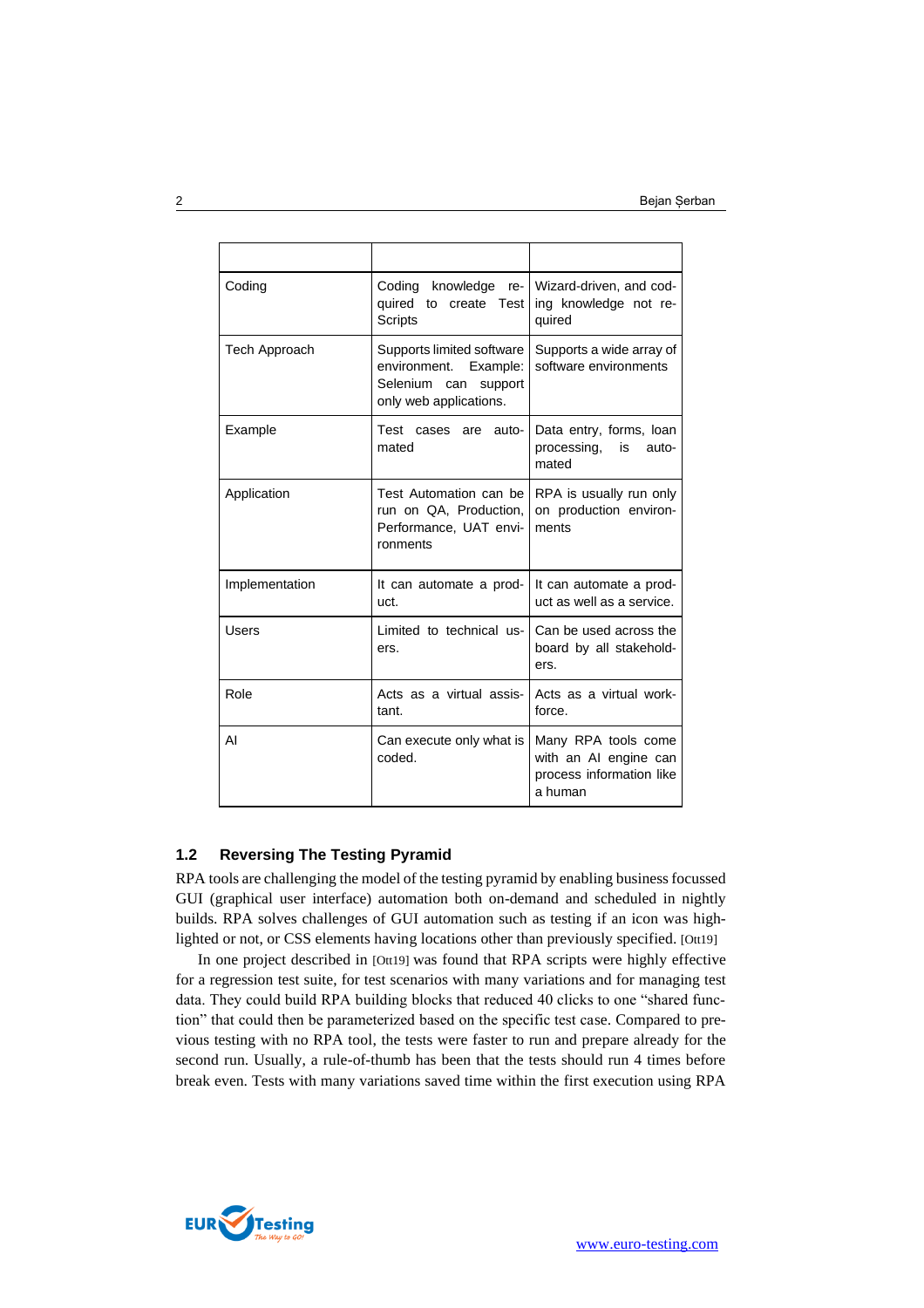| Coding         | Wizard-driven, and cod-<br>Coding knowledge<br>$re-1$<br>quired to create Test<br>ing knowledge not re-<br>Scripts<br>quired |                                                                                     |  |  |
|----------------|------------------------------------------------------------------------------------------------------------------------------|-------------------------------------------------------------------------------------|--|--|
| Tech Approach  | Supports limited software<br>environment. Example:<br>Selenium can<br>support<br>only web applications.                      | Supports a wide array of<br>software environments                                   |  |  |
| Example        | Test cases are<br>auto-<br>mated                                                                                             | Data entry, forms, loan<br>processing, is<br>auto-<br>mated                         |  |  |
| Application    | Test Automation can be l<br>run on QA, Production,<br>Performance, UAT envi-<br>ronments                                     | RPA is usually run only<br>on production environ-<br>ments                          |  |  |
| Implementation | It can automate a prod-<br>uct.                                                                                              | It can automate a prod-<br>uct as well as a service.                                |  |  |
| Users          | Limited to technical us-<br>ers.                                                                                             | Can be used across the<br>board by all stakehold-<br>ers.                           |  |  |
| Role           | Acts as a virtual assis-<br>tant.                                                                                            | Acts as a virtual work-<br>force.                                                   |  |  |
| AI             | Can execute only what is<br>coded.                                                                                           | Many RPA tools come<br>with an AI engine can<br>process information like<br>a human |  |  |

#### **1.2 Reversing The Testing Pyramid**

RPA tools are challenging the model of the testing pyramid by enabling business focussed GUI (graphical user interface) automation both on-demand and scheduled in nightly builds. RPA solves challenges of GUI automation such as testing if an icon was highlighted or not, or CSS elements having locations other than previously specified. [Ott19]

In one project described in [Ott19] was found that RPA scripts were highly effective for a regression test suite, for test scenarios with many variations and for managing test data. They could build RPA building blocks that reduced 40 clicks to one "shared function" that could then be parameterized based on the specific test case. Compared to previous testing with no RPA tool, the tests were faster to run and prepare already for the second run. Usually, a rule-of-thumb has been that the tests should run 4 times before break even. Tests with many variations saved time within the first execution using RPA

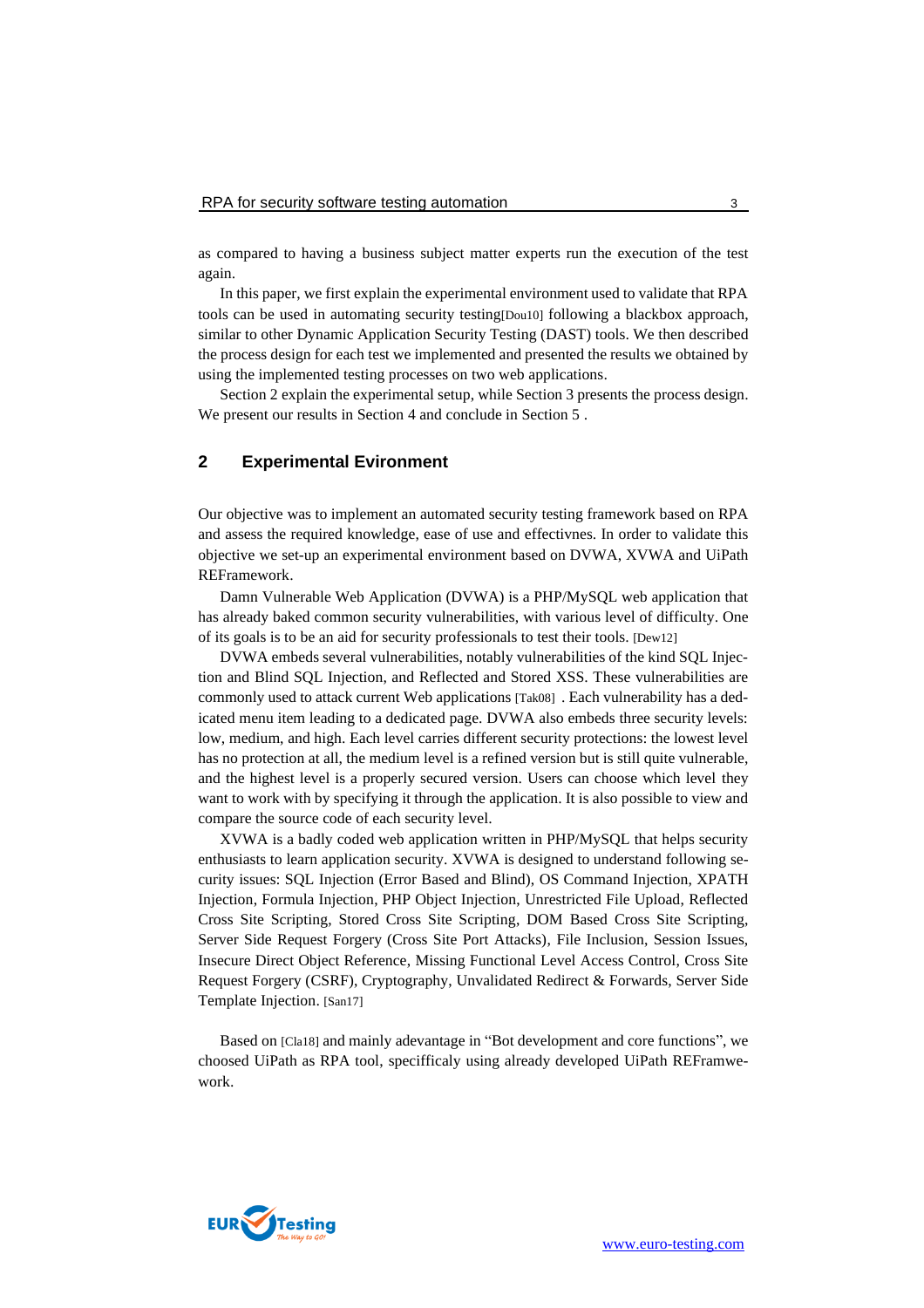as compared to having a business subject matter experts run the execution of the test again.

In this paper, we first explain the experimental environment used to validate that RPA tools can be used in automating security testing[Dou10] following a blackbox approach, similar to other Dynamic Application Security Testing (DAST) tools. We then described the process design for each test we implemented and presented the results we obtained by using the implemented testing processes on two web applications.

Section 2 explain the experimental setup, while Section 3 presents the process design. We present our results in Section 4 and conclude in Section 5 .

#### **2 Experimental Evironment**

Our objective was to implement an automated security testing framework based on RPA and assess the required knowledge, ease of use and effectivnes. In order to validate this objective we set-up an experimental environment based on DVWA, XVWA and UiPath REFramework.

Damn Vulnerable Web Application (DVWA) is a PHP/MySQL web application that has already baked common security vulnerabilities, with various level of difficulty. One of its goals is to be an aid for security professionals to test their tools. [Dew12]

DVWA embeds several vulnerabilities, notably vulnerabilities of the kind SQL Injection and Blind SQL Injection, and Reflected and Stored XSS. These vulnerabilities are commonly used to attack current Web applications [Tak08] . Each vulnerability has a dedicated menu item leading to a dedicated page. DVWA also embeds three security levels: low, medium, and high. Each level carries different security protections: the lowest level has no protection at all, the medium level is a refined version but is still quite vulnerable, and the highest level is a properly secured version. Users can choose which level they want to work with by specifying it through the application. It is also possible to view and compare the source code of each security level.

XVWA is a badly coded web application written in PHP/MySQL that helps security enthusiasts to learn application security. XVWA is designed to understand following security issues: SQL Injection (Error Based and Blind), OS Command Injection, XPATH Injection, Formula Injection, PHP Object Injection, Unrestricted File Upload, Reflected Cross Site Scripting, Stored Cross Site Scripting, DOM Based Cross Site Scripting, Server Side Request Forgery (Cross Site Port Attacks), File Inclusion, Session Issues, Insecure Direct Object Reference, Missing Functional Level Access Control, Cross Site Request Forgery (CSRF), Cryptography, Unvalidated Redirect & Forwards, Server Side Template Injection. [San17]

Based on [Cla18] and mainly adevantage in "Bot development and core functions", we choosed UiPath as RPA tool, specifficaly using already developed UiPath REFramwework.

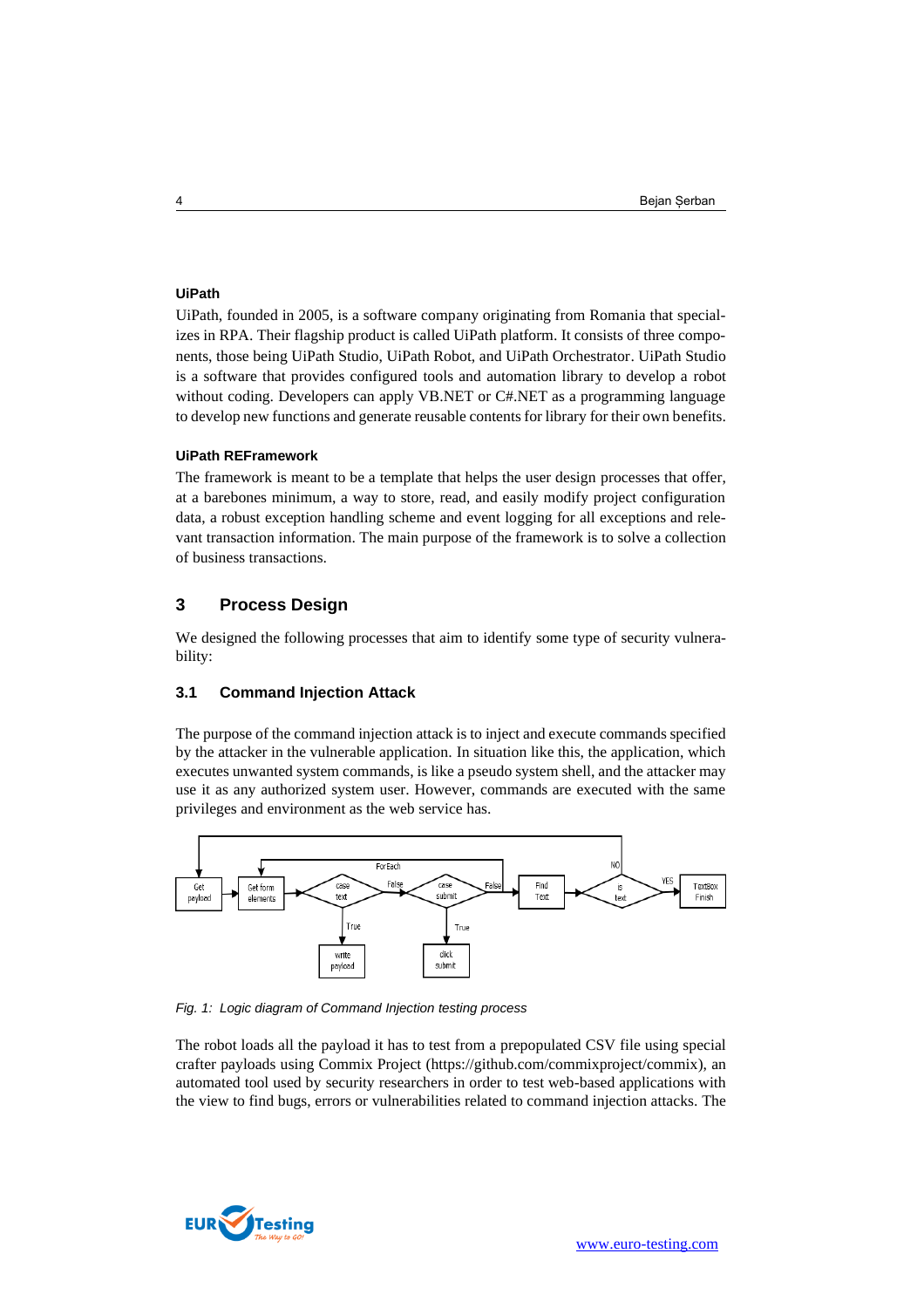#### **UiPath**

UiPath, founded in 2005, is a software company originating from Romania that specializes in RPA. Their flagship product is called UiPath platform. It consists of three components, those being UiPath Studio, UiPath Robot, and UiPath Orchestrator. UiPath Studio is a software that provides configured tools and automation library to develop a robot without coding. Developers can apply VB.NET or C#.NET as a programming language to develop new functions and generate reusable contents for library for their own benefits.

#### **UiPath REFramework**

The framework is meant to be a template that helps the user design processes that offer, at a barebones minimum, a way to store, read, and easily modify project configuration data, a robust exception handling scheme and event logging for all exceptions and relevant transaction information. The main purpose of the framework is to solve a collection of business transactions.

## **3 Process Design**

We designed the following processes that aim to identify some type of security vulnerability:

## **3.1 Command Injection Attack**

The purpose of the command injection attack is to inject and execute commands specified by the attacker in the vulnerable application. In situation like this, the application, which executes unwanted system commands, is like a pseudo system shell, and the attacker may use it as any authorized system user. However, commands are executed with the same privileges and environment as the web service has.



*Fig. 1: Logic diagram of Command Injection testing process*

The robot loads all the payload it has to test from a prepopulated CSV file using special crafter payloads using Commix Project (https://github.com/commixproject/commix), an automated tool used by security researchers in order to test web-based applications with the view to find bugs, errors or vulnerabilities related to command injection attacks. The

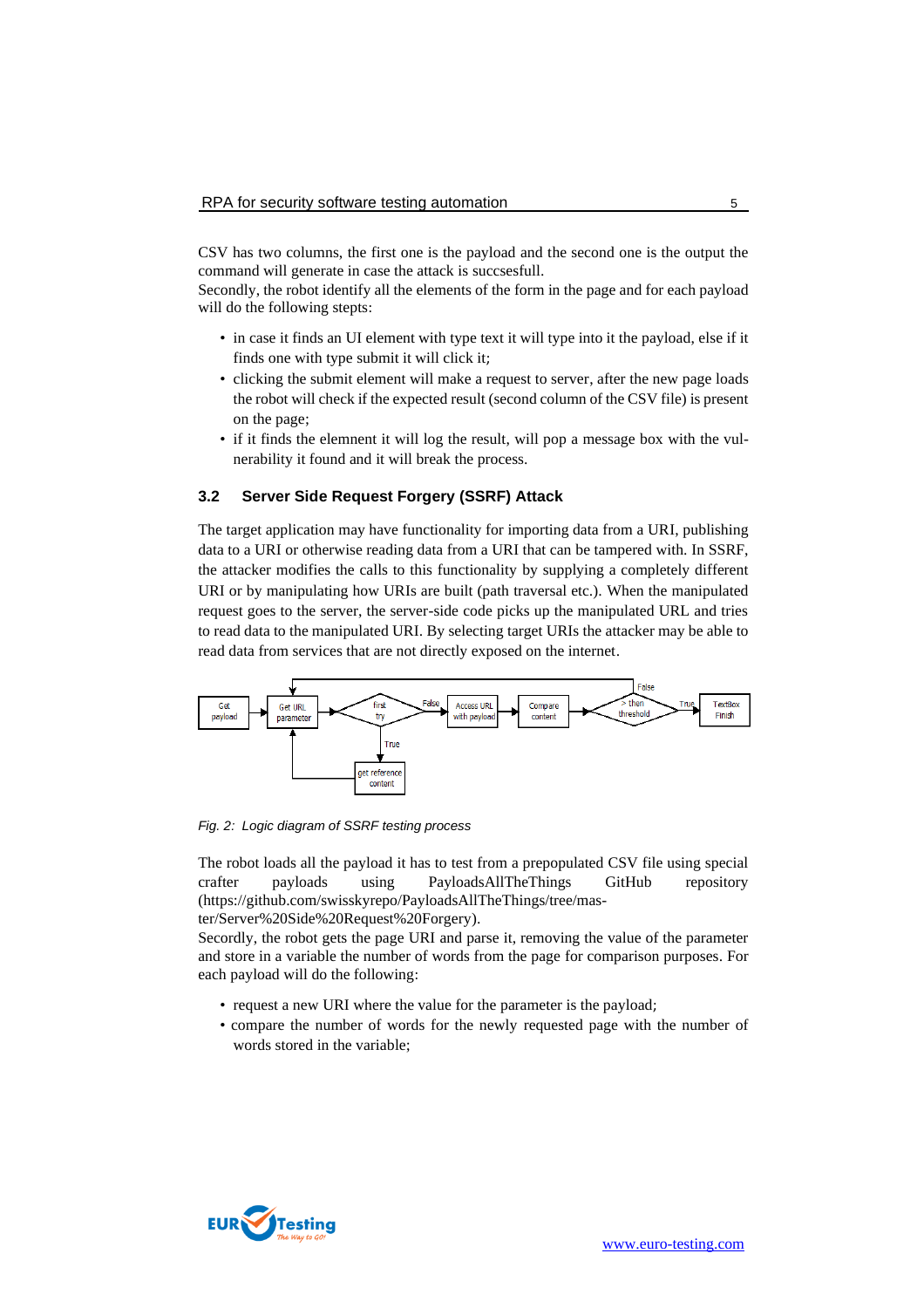CSV has two columns, the first one is the payload and the second one is the output the command will generate in case the attack is succsesfull.

Secondly, the robot identify all the elements of the form in the page and for each payload will do the following stepts:

- in case it finds an UI element with type text it will type into it the payload, else if it finds one with type submit it will click it;
- clicking the submit element will make a request to server, after the new page loads the robot will check if the expected result (second column of the CSV file) is present on the page;
- if it finds the elemnent it will log the result, will pop a message box with the vulnerability it found and it will break the process.

## **3.2 Server Side Request Forgery (SSRF) Attack**

The target application may have functionality for importing data from a URI, publishing data to a URI or otherwise reading data from a URI that can be tampered with. In SSRF, the attacker modifies the calls to this functionality by supplying a completely different URI or by manipulating how URIs are built (path traversal etc.). When the manipulated request goes to the server, the server-side code picks up the manipulated URL and tries to read data to the manipulated URI. By selecting target URIs the attacker may be able to read data from services that are not directly exposed on the internet.



*Fig. 2: Logic diagram of SSRF testing process*

The robot loads all the payload it has to test from a prepopulated CSV file using special crafter payloads using PayloadsAllTheThings GitHub repository (https://github.com/swisskyrepo/PayloadsAllTheThings/tree/master/Server%20Side%20Request%20Forgery).

Secordly, the robot gets the page URI and parse it, removing the value of the parameter and store in a variable the number of words from the page for comparison purposes. For

each payload will do the following:

- request a new URI where the value for the parameter is the payload;
- compare the number of words for the newly requested page with the number of words stored in the variable;

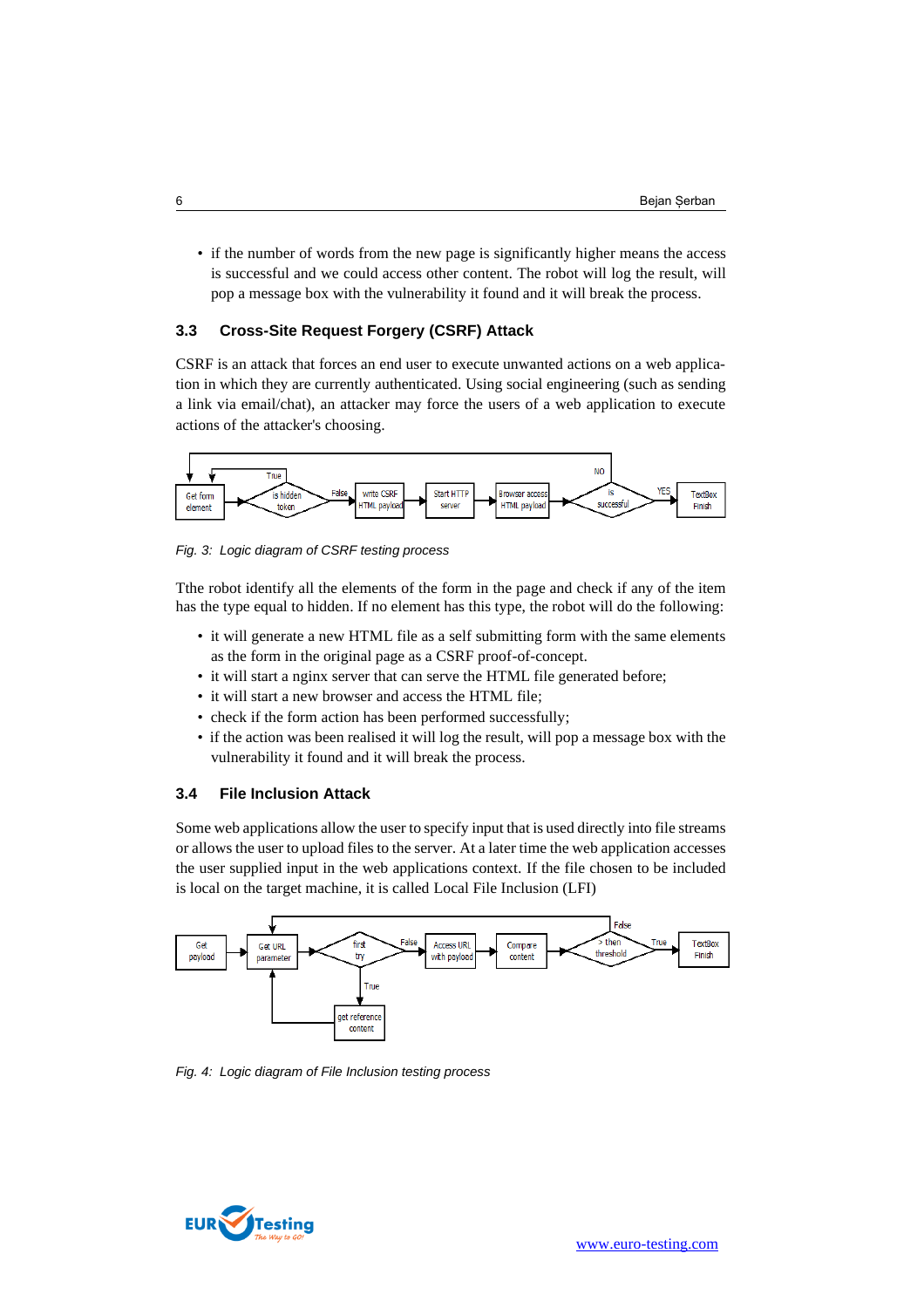• if the number of words from the new page is significantly higher means the access is successful and we could access other content. The robot will log the result, will pop a message box with the vulnerability it found and it will break the process.

## **3.3 Cross-Site Request Forgery (CSRF) Attack**

CSRF is an attack that forces an end user to execute unwanted actions on a web application in which they are currently authenticated. Using social engineering (such as sending a link via email/chat), an attacker may force the users of a web application to execute actions of the attacker's choosing.



*Fig. 3: Logic diagram of CSRF testing process*

Tthe robot identify all the elements of the form in the page and check if any of the item has the type equal to hidden. If no element has this type, the robot will do the following:

- it will generate a new HTML file as a self submitting form with the same elements as the form in the original page as a CSRF proof-of-concept.
- it will start a nginx server that can serve the HTML file generated before;
- it will start a new browser and access the HTML file;
- check if the form action has been performed successfully;
- if the action was been realised it will log the result, will pop a message box with the vulnerability it found and it will break the process.

#### **3.4 File Inclusion Attack**

Some web applications allow the user to specify input that is used directly into file streams or allows the user to upload files to the server. At a later time the web application accesses the user supplied input in the web applications context. If the file chosen to be included is local on the target machine, it is called Local File Inclusion (LFI)



*Fig. 4: Logic diagram of File Inclusion testing process*

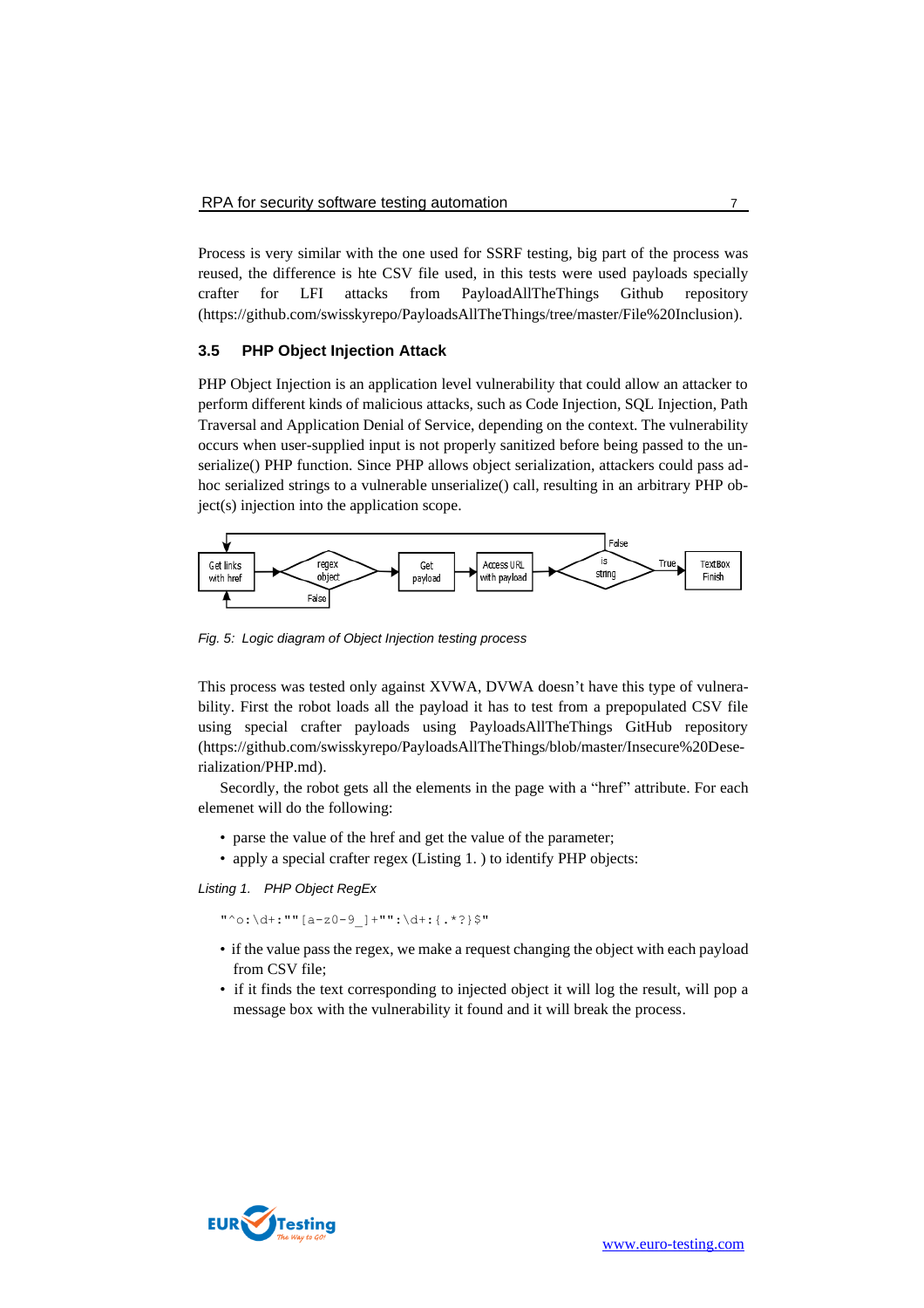Process is very similar with the one used for SSRF testing, big part of the process was reused, the difference is hte CSV file used, in this tests were used payloads specially crafter for LFI attacks from PayloadAllTheThings Github repository (https://github.com/swisskyrepo/PayloadsAllTheThings/tree/master/File%20Inclusion).

#### **3.5 PHP Object Injection Attack**

PHP Object Injection is an application level vulnerability that could allow an attacker to perform different kinds of malicious attacks, such as Code Injection, SQL Injection, Path Traversal and Application Denial of Service, depending on the context. The vulnerability occurs when user-supplied input is not properly sanitized before being passed to the unserialize() PHP function. Since PHP allows object serialization, attackers could pass adhoc serialized strings to a vulnerable unserialize() call, resulting in an arbitrary PHP object(s) injection into the application scope.



*Fig. 5: Logic diagram of Object Injection testing process*

This process was tested only against XVWA, DVWA doesn't have this type of vulnerability. First the robot loads all the payload it has to test from a prepopulated CSV file using special crafter payloads using PayloadsAllTheThings GitHub repository (https://github.com/swisskyrepo/PayloadsAllTheThings/blob/master/Insecure%20Deserialization/PHP.md).

Secordly, the robot gets all the elements in the page with a "href" attribute. For each elemenet will do the following:

- parse the value of the href and get the value of the parameter;
- apply a special crafter regex [\(Listing 1. \)](#page-6-0) to identify PHP objects:

<span id="page-6-0"></span>*Listing 1. PHP Object RegEx*

"^o:\d+:""[a-z0-9\_]+"":\d+:{.\*?}\$"

- if the value pass the regex, we make a request changing the object with each payload from CSV file;
- if it finds the text corresponding to injected object it will log the result, will pop a message box with the vulnerability it found and it will break the process.

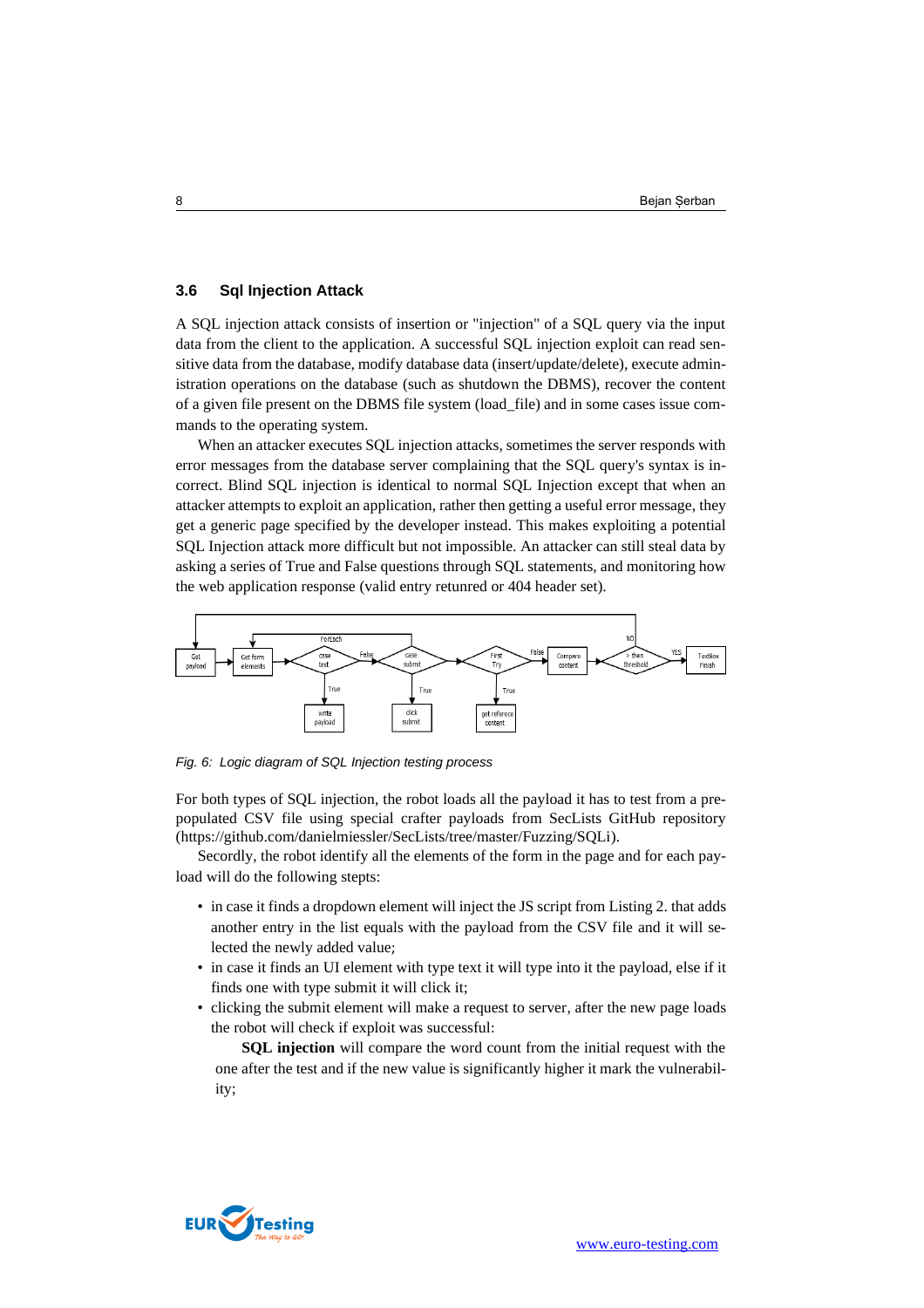#### **3.6 Sql Injection Attack**

A SQL injection attack consists of insertion or "injection" of a SQL query via the input data from the client to the application. A successful SQL injection exploit can read sensitive data from the database, modify database data (insert/update/delete), execute administration operations on the database (such as shutdown the DBMS), recover the content of a given file present on the DBMS file system (load\_file) and in some cases issue commands to the operating system.

When an attacker executes SQL injection attacks, sometimes the server responds with error messages from the database server complaining that the SQL query's syntax is incorrect. Blind SQL injection is identical to normal SQL Injection except that when an attacker attempts to exploit an application, rather then getting a useful error message, they get a generic page specified by the developer instead. This makes exploiting a potential SQL Injection attack more difficult but not impossible. An attacker can still steal data by asking a series of True and False questions through SQL statements, and monitoring how the web application response (valid entry retunred or 404 header set).



*Fig. 6: Logic diagram of SQL Injection testing process*

For both types of SQL injection, the robot loads all the payload it has to test from a prepopulated CSV file using special crafter payloads from SecLists GitHub repository (https://github.com/danielmiessler/SecLists/tree/master/Fuzzing/SQLi).

Secordly, the robot identify all the elements of the form in the page and for each payload will do the following stepts:

- in case it finds a dropdown element will inject the JS script from [Listing 2. t](#page-8-0)hat adds another entry in the list equals with the payload from the CSV file and it will selected the newly added value;
- in case it finds an UI element with type text it will type into it the payload, else if it finds one with type submit it will click it;
- clicking the submit element will make a request to server, after the new page loads the robot will check if exploit was successful:

**SQL injection** will compare the word count from the initial request with the one after the test and if the new value is significantly higher it mark the vulnerability;

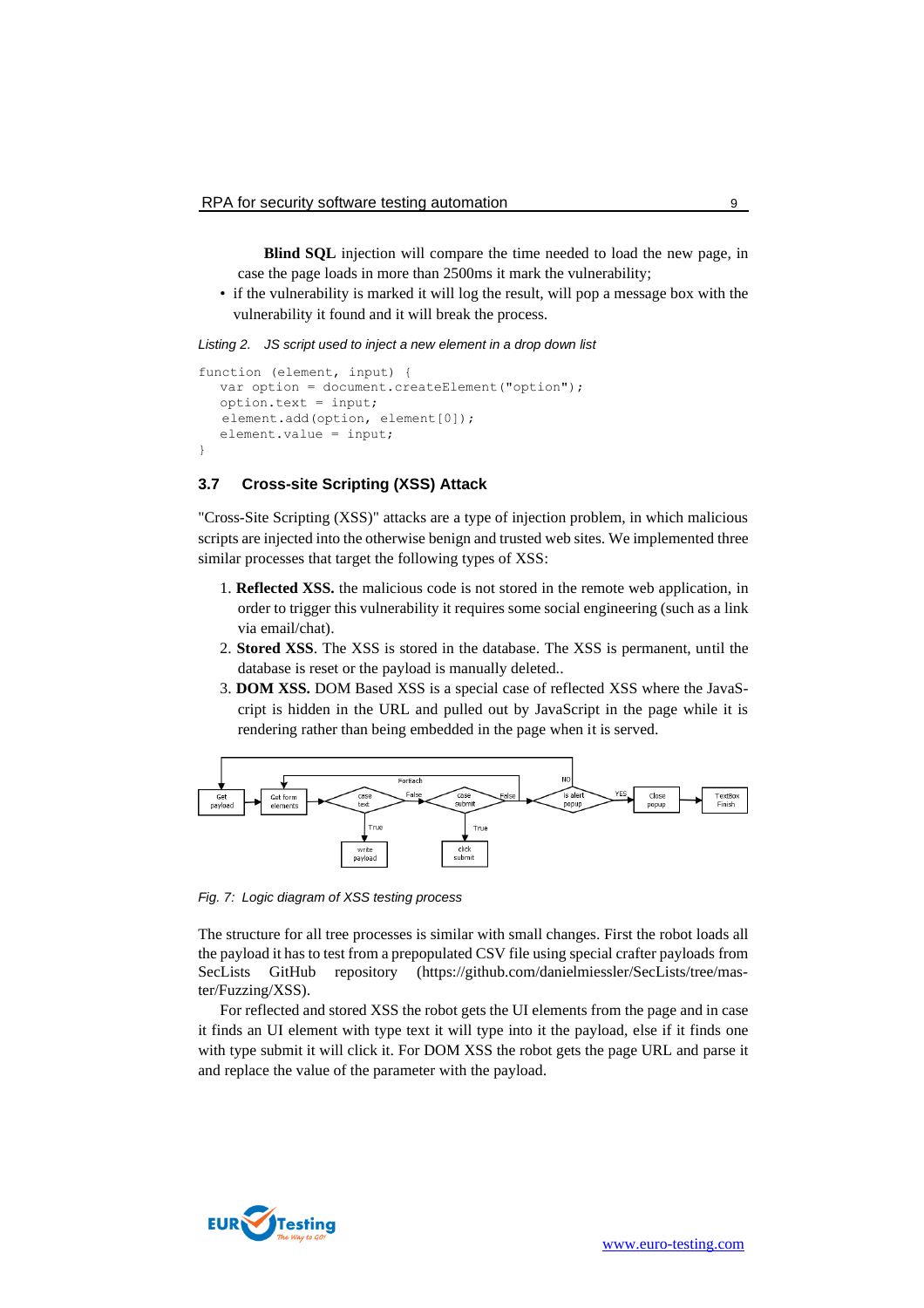**Blind SQL** injection will compare the time needed to load the new page, in case the page loads in more than 2500ms it mark the vulnerability;

• if the vulnerability is marked it will log the result, will pop a message box with the vulnerability it found and it will break the process.

<span id="page-8-0"></span>*Listing 2. JS script used to inject a new element in a drop down list*

```
function (element, input) {
  var option = document.createElement("option");
  option.text = input;
   element.add(option, element[0]);
  element.value = input;
}
```
## **3.7 Cross-site Scripting (XSS) Attack**

"Cross-Site Scripting (XSS)" attacks are a type of injection problem, in which malicious scripts are injected into the otherwise benign and trusted web sites. We implemented three similar processes that target the following types of XSS:

- 1. **Reflected XSS.** the malicious code is not stored in the remote web application, in order to trigger this vulnerability it requires some social engineering (such as a link via email/chat).
- 2. **Stored XSS**. The XSS is stored in the database. The XSS is permanent, until the database is reset or the payload is manually deleted..
- 3. **DOM XSS.** DOM Based XSS is a special case of reflected XSS where the JavaScript is hidden in the URL and pulled out by JavaScript in the page while it is rendering rather than being embedded in the page when it is served.



*Fig. 7: Logic diagram of XSS testing process*

The structure for all tree processes is similar with small changes. First the robot loads all the payload it has to test from a prepopulated CSV file using special crafter payloads from SecLists GitHub repository (https://github.com/danielmiessler/SecLists/tree/master/Fuzzing/XSS).

For reflected and stored XSS the robot gets the UI elements from the page and in case it finds an UI element with type text it will type into it the payload, else if it finds one with type submit it will click it. For DOM XSS the robot gets the page URL and parse it and replace the value of the parameter with the payload.

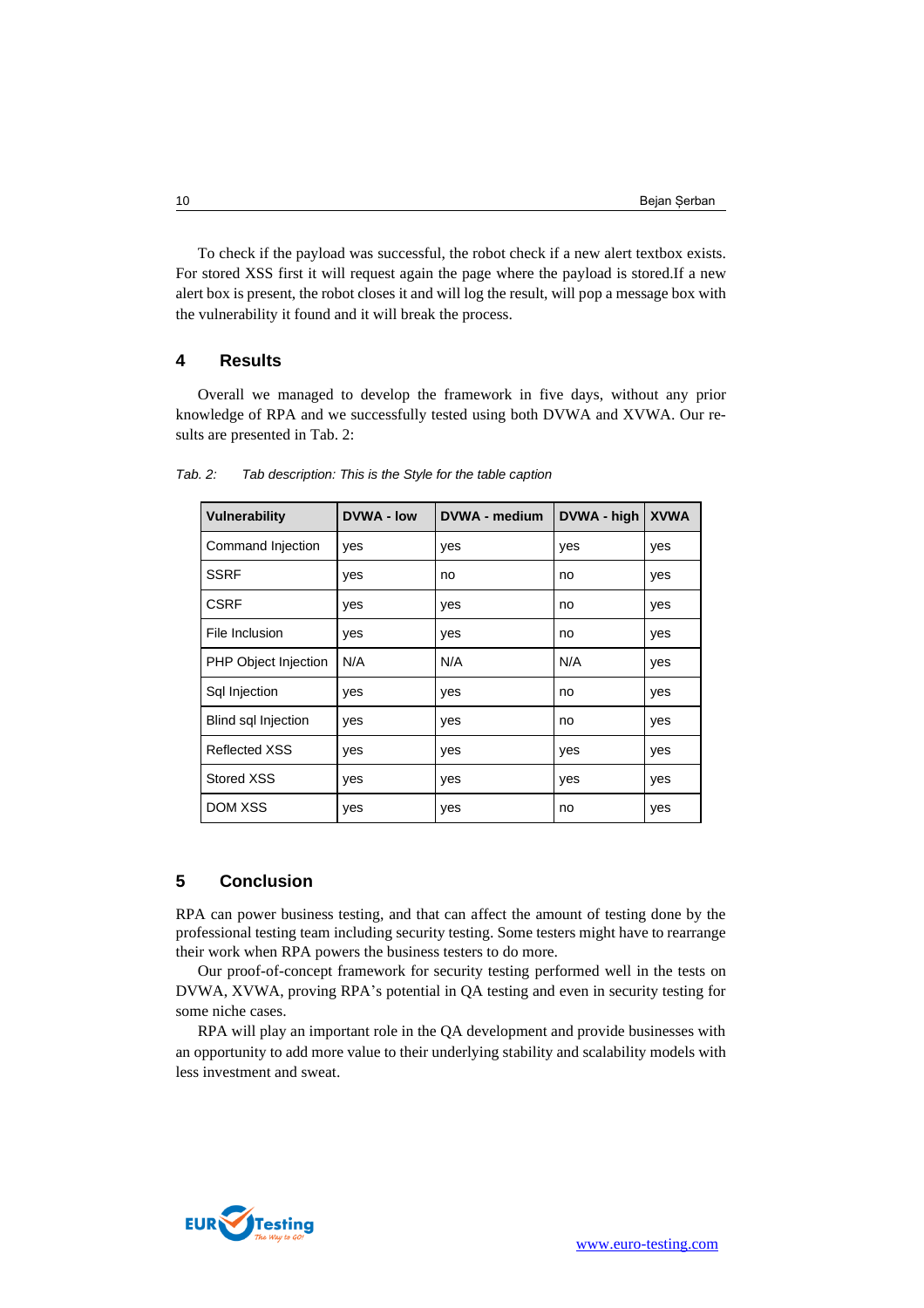To check if the payload was successful, the robot check if a new alert textbox exists. For stored XSS first it will request again the page where the payload is stored.If a new alert box is present, the robot closes it and will log the result, will pop a message box with the vulnerability it found and it will break the process.

#### **4 Results**

Overall we managed to develop the framework in five days, without any prior knowledge of RPA and we successfully tested using both DVWA and XVWA. Our results are presented i[n Tab. 2:](#page-9-0)

| Vulnerability              | <b>DVWA - low</b> | <b>DVWA - medium</b> | DVWA - high | <b>XVWA</b> |
|----------------------------|-------------------|----------------------|-------------|-------------|
| Command Injection          | yes               | yes                  | yes         | yes         |
| <b>SSRF</b>                | yes               | no                   | no          | yes         |
| <b>CSRF</b>                | yes               | yes                  | no          | yes         |
| File Inclusion             | yes               | yes                  | no          | yes         |
| PHP Object Injection       | N/A               | N/A                  | N/A         | yes         |
| Sql Injection              | yes               | yes                  | no          | yes         |
| <b>Blind sql Injection</b> | yes               | yes                  | no          | yes         |
| <b>Reflected XSS</b>       | yes               | yes                  | yes         | yes         |
| Stored XSS                 | yes               | yes                  | yes         | yes         |
| <b>DOM XSS</b>             | yes               | yes                  | no          | yes         |

<span id="page-9-0"></span>*Tab. 2: Tab description: This is the Style for the table caption* 

## **5 Conclusion**

RPA can power business testing, and that can affect the amount of testing done by the professional testing team including security testing. Some testers might have to rearrange their work when RPA powers the business testers to do more.

Our proof-of-concept framework for security testing performed well in the tests on DVWA, XVWA, proving RPA's potential in QA testing and even in security testing for some niche cases.

RPA will play an important role in the QA development and provide businesses with an opportunity to add more value to their underlying stability and scalability models with less investment and sweat.